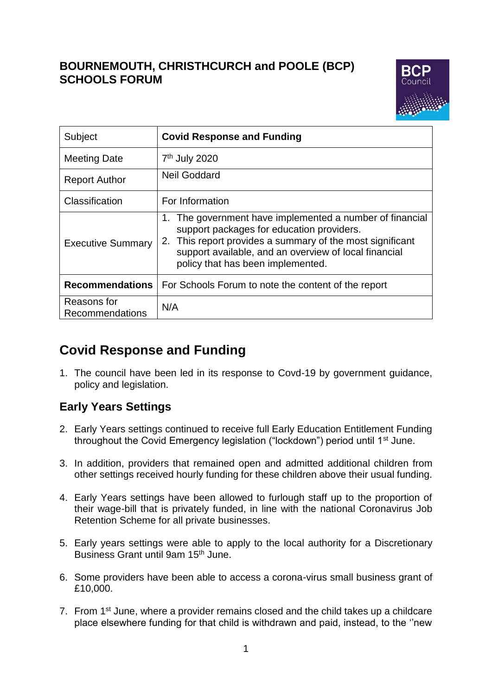# **BOURNEMOUTH, CHRISTHCURCH and POOLE (BCP) SCHOOLS FORUM**



| Subject                        | <b>Covid Response and Funding</b>                                                                                                                                                                                                                                |
|--------------------------------|------------------------------------------------------------------------------------------------------------------------------------------------------------------------------------------------------------------------------------------------------------------|
| <b>Meeting Date</b>            | 7 <sup>th</sup> July 2020                                                                                                                                                                                                                                        |
| <b>Report Author</b>           | <b>Neil Goddard</b>                                                                                                                                                                                                                                              |
| Classification                 | For Information                                                                                                                                                                                                                                                  |
| <b>Executive Summary</b>       | 1. The government have implemented a number of financial<br>support packages for education providers.<br>2. This report provides a summary of the most significant<br>support available, and an overview of local financial<br>policy that has been implemented. |
| <b>Recommendations</b>         | For Schools Forum to note the content of the report                                                                                                                                                                                                              |
| Reasons for<br>Recommendations | N/A                                                                                                                                                                                                                                                              |

# **Covid Response and Funding**

1. The council have been led in its response to Covd-19 by government guidance, policy and legislation.

# **Early Years Settings**

- 2. Early Years settings continued to receive full Early Education Entitlement Funding throughout the Covid Emergency legislation ("lockdown") period until 1<sup>st</sup> June.
- 3. In addition, providers that remained open and admitted additional children from other settings received hourly funding for these children above their usual funding.
- 4. Early Years settings have been allowed to furlough staff up to the proportion of their wage-bill that is privately funded, in line with the national Coronavirus Job Retention Scheme for all private businesses.
- 5. Early years settings were able to apply to the local authority for a Discretionary Business Grant until 9am 15th June.
- 6. Some providers have been able to access a corona-virus small business grant of £10,000.
- 7. From 1st June, where a provider remains closed and the child takes up a childcare place elsewhere funding for that child is withdrawn and paid, instead, to the ''new